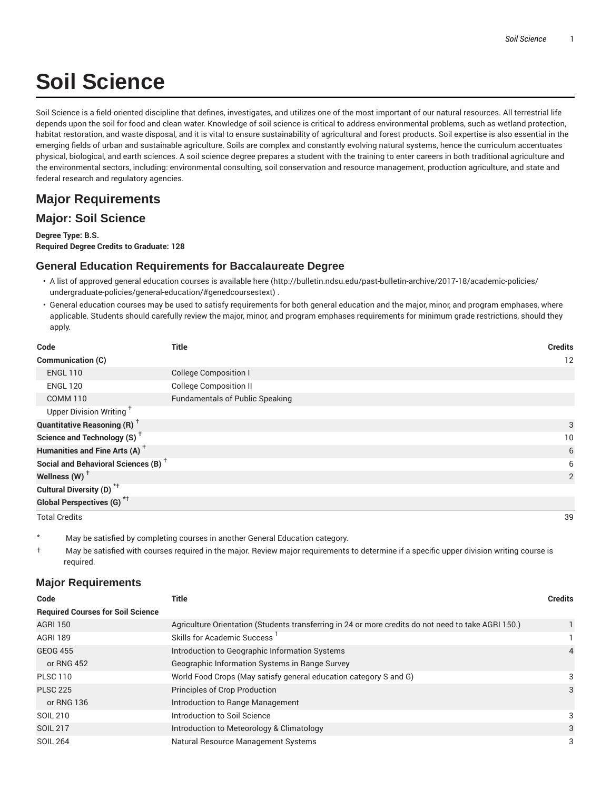# **Soil Science**

Soil Science is a field-oriented discipline that defines, investigates, and utilizes one of the most important of our natural resources. All terrestrial life depends upon the soil for food and clean water. Knowledge of soil science is critical to address environmental problems, such as wetland protection, habitat restoration, and waste disposal, and it is vital to ensure sustainability of agricultural and forest products. Soil expertise is also essential in the emerging fields of urban and sustainable agriculture. Soils are complex and constantly evolving natural systems, hence the curriculum accentuates physical, biological, and earth sciences. A soil science degree prepares a student with the training to enter careers in both traditional agriculture and the environmental sectors, including: environmental consulting, soil conservation and resource management, production agriculture, and state and federal research and regulatory agencies.

## **Major Requirements**

### **Major: Soil Science**

**Degree Type: B.S. Required Degree Credits to Graduate: 128**

#### **General Education Requirements for Baccalaureate Degree**

- A list of approved general education courses is available here (http://bulletin.ndsu.edu/past-bulletin-archive/2017-18/academic-policies/ undergraduate-policies/general-education/#genedcoursestext) .
- General education courses may be used to satisfy requirements for both general education and the major, minor, and program emphases, where applicable. Students should carefully review the major, minor, and program emphases requirements for minimum grade restrictions, should they apply.

| Code                                            | Title                                  | <b>Credits</b> |
|-------------------------------------------------|----------------------------------------|----------------|
| Communication (C)                               |                                        | 12             |
| <b>ENGL 110</b>                                 | <b>College Composition I</b>           |                |
| <b>ENGL 120</b>                                 | <b>College Composition II</b>          |                |
| <b>COMM 110</b>                                 | <b>Fundamentals of Public Speaking</b> |                |
| Upper Division Writing <sup>+</sup>             |                                        |                |
| <b>Quantitative Reasoning (R)</b> <sup>†</sup>  |                                        | 3              |
| Science and Technology (S) <sup>+</sup>         |                                        | 10             |
| Humanities and Fine Arts (A) <sup>+</sup>       |                                        | 6              |
| Social and Behavioral Sciences (B) <sup>+</sup> |                                        | 6              |
| Wellness $(W)$ <sup>+</sup>                     |                                        | $\overline{2}$ |
| Cultural Diversity (D) <sup>*†</sup>            |                                        |                |
| Global Perspectives (G) <sup>*†</sup>           |                                        |                |
| <b>Total Credits</b>                            |                                        | 39             |

May be satisfied by completing courses in another General Education category.

† May be satisfied with courses required in the major. Review major requirements to determine if a specific upper division writing course is required.

#### **Major Requirements**

| Code                                     | <b>Title</b>                                                                                        | <b>Credits</b> |
|------------------------------------------|-----------------------------------------------------------------------------------------------------|----------------|
| <b>Required Courses for Soil Science</b> |                                                                                                     |                |
| <b>AGRI 150</b>                          | Agriculture Orientation (Students transferring in 24 or more credits do not need to take AGRI 150.) |                |
| AGRI 189                                 | <b>Skills for Academic Success</b>                                                                  |                |
| <b>GEOG 455</b>                          | Introduction to Geographic Information Systems                                                      | 4              |
| or RNG 452                               | Geographic Information Systems in Range Survey                                                      |                |
| <b>PLSC 110</b>                          | World Food Crops (May satisfy general education category S and G)                                   | 3              |
| <b>PLSC 225</b>                          | <b>Principles of Crop Production</b>                                                                | 3              |
| or RNG 136                               | Introduction to Range Management                                                                    |                |
| SOIL 210                                 | Introduction to Soil Science                                                                        | 3              |
| <b>SOIL 217</b>                          | Introduction to Meteorology & Climatology                                                           | 3              |
| <b>SOIL 264</b>                          | Natural Resource Management Systems                                                                 | 3              |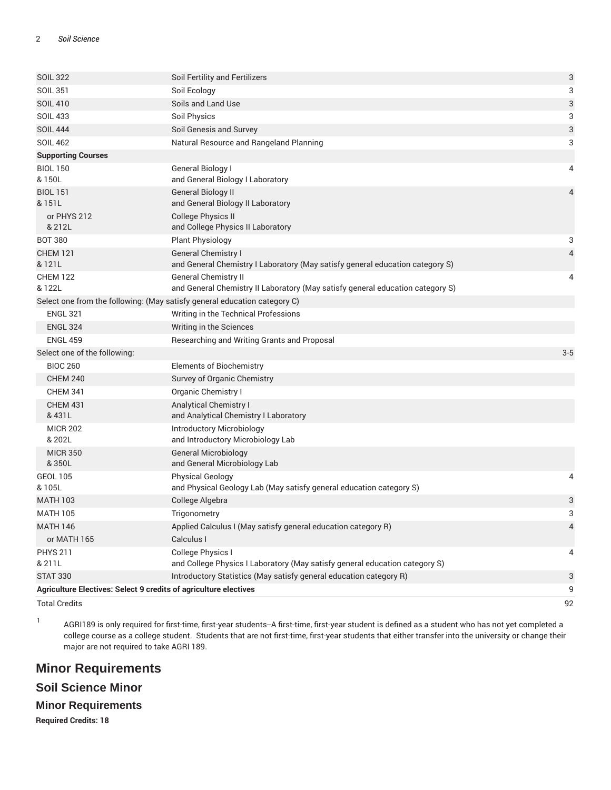| <b>SOIL 322</b>                                                  | Soil Fertility and Fertilizers                                                                                | 3              |
|------------------------------------------------------------------|---------------------------------------------------------------------------------------------------------------|----------------|
| <b>SOIL 351</b>                                                  | Soil Ecology                                                                                                  | 3              |
| <b>SOIL 410</b>                                                  | Soils and Land Use                                                                                            | 3              |
| <b>SOIL 433</b>                                                  | Soil Physics                                                                                                  | 3              |
| <b>SOIL 444</b>                                                  | Soil Genesis and Survey                                                                                       | 3              |
| <b>SOIL 462</b>                                                  | Natural Resource and Rangeland Planning                                                                       | 3              |
| <b>Supporting Courses</b>                                        |                                                                                                               |                |
| <b>BIOL 150</b><br>& 150L                                        | <b>General Biology I</b><br>and General Biology I Laboratory                                                  | 4              |
| <b>BIOL 151</b><br>& 151L                                        | <b>General Biology II</b><br>and General Biology II Laboratory                                                | 4              |
| or PHYS 212<br>& 212L                                            | <b>College Physics II</b><br>and College Physics II Laboratory                                                |                |
| <b>BOT 380</b>                                                   | <b>Plant Physiology</b>                                                                                       | 3              |
| <b>CHEM 121</b><br>& 121L                                        | <b>General Chemistry I</b><br>and General Chemistry I Laboratory (May satisfy general education category S)   | $\overline{4}$ |
| <b>CHEM 122</b><br>& 122L                                        | <b>General Chemistry II</b><br>and General Chemistry II Laboratory (May satisfy general education category S) | 4              |
|                                                                  | Select one from the following: (May satisfy general education category C)                                     |                |
| <b>ENGL 321</b>                                                  | Writing in the Technical Professions                                                                          |                |
| <b>ENGL 324</b>                                                  | Writing in the Sciences                                                                                       |                |
| <b>ENGL 459</b>                                                  | Researching and Writing Grants and Proposal                                                                   |                |
| Select one of the following:                                     |                                                                                                               | $3 - 5$        |
| <b>BIOC 260</b>                                                  | <b>Elements of Biochemistry</b>                                                                               |                |
| <b>CHEM 240</b>                                                  | Survey of Organic Chemistry                                                                                   |                |
| <b>CHEM 341</b>                                                  | Organic Chemistry I                                                                                           |                |
| <b>CHEM 431</b><br>& 431L                                        | <b>Analytical Chemistry I</b><br>and Analytical Chemistry I Laboratory                                        |                |
| <b>MICR 202</b><br>& 202L                                        | <b>Introductory Microbiology</b><br>and Introductory Microbiology Lab                                         |                |
| <b>MICR 350</b><br>& 350L                                        | <b>General Microbiology</b><br>and General Microbiology Lab                                                   |                |
| <b>GEOL 105</b><br>& 105L                                        | <b>Physical Geology</b><br>and Physical Geology Lab (May satisfy general education category S)                | 4              |
| <b>MATH 103</b>                                                  | College Algebra                                                                                               | 3              |
| <b>MATH 105</b>                                                  | Trigonometry                                                                                                  | 3              |
| <b>MATH 146</b>                                                  | Applied Calculus I (May satisfy general education category R)                                                 | 4              |
| or MATH 165                                                      | Calculus I                                                                                                    |                |
| <b>PHYS 211</b><br>& 211L                                        | College Physics I<br>and College Physics I Laboratory (May satisfy general education category S)              | 4              |
| <b>STAT 330</b>                                                  | Introductory Statistics (May satisfy general education category R)                                            | 3              |
| Agriculture Electives: Select 9 credits of agriculture electives |                                                                                                               | 9              |
| <b>Total Credits</b>                                             |                                                                                                               | 92             |

1

AGRI189 is only required for first-time, first-year students--A first-time, first-year student is defined as a student who has not yet completed a college course as a college student. Students that are not first-time, first-year students that either transfer into the university or change their major are not required to take AGRI 189.

## **Minor Requirements**

## **Soil Science Minor**

#### **Minor Requirements**

**Required Credits: 18**